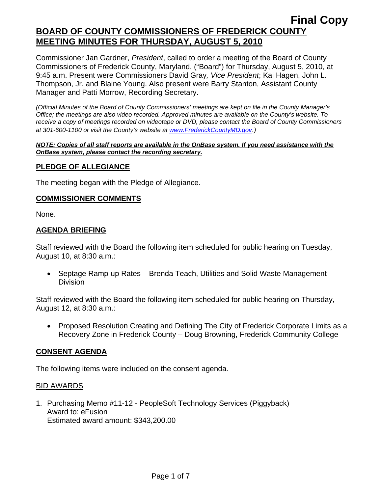Commissioner Jan Gardner, *President*, called to order a meeting of the Board of County Commissioners of Frederick County, Maryland, ("Board") for Thursday, August 5, 2010, at 9:45 a.m. Present were Commissioners David Gray*, Vice President*; Kai Hagen, John L. Thompson, Jr. and Blaine Young. Also present were Barry Stanton, Assistant County Manager and Patti Morrow, Recording Secretary.

*(Official Minutes of the Board of County Commissioners' meetings are kept on file in the County Manager's Office; the meetings are also video recorded. Approved minutes are available on the County's website. To receive a copy of meetings recorded on videotape or DVD, please contact the Board of County Commissioners at 301-600-1100 or visit the County's website at [www.FrederickCountyMD.gov](http://www.frederickcountymd.gov/)*.*)* 

#### *NOTE: Copies of all staff reports are available in the OnBase system. If you need assistance with the OnBase system, please contact the recording secretary.*

## **PLEDGE OF ALLEGIANCE**

The meeting began with the Pledge of Allegiance.

#### **COMMISSIONER COMMENTS**

None.

#### **AGENDA BRIEFING**

Staff reviewed with the Board the following item scheduled for public hearing on Tuesday, August 10, at 8:30 a.m.:

• Septage Ramp-up Rates – Brenda Teach, Utilities and Solid Waste Management Division

Staff reviewed with the Board the following item scheduled for public hearing on Thursday, August 12, at 8:30 a.m.:

• Proposed Resolution Creating and Defining The City of Frederick Corporate Limits as a Recovery Zone in Frederick County – Doug Browning, Frederick Community College

### **CONSENT AGENDA**

The following items were included on the consent agenda.

#### BID AWARDS

1. Purchasing Memo #11-12 - PeopleSoft Technology Services (Piggyback) Award to: eFusion Estimated award amount: \$343,200.00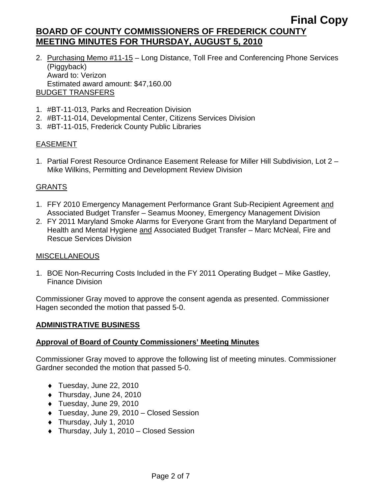- 2. Purchasing Memo #11-15 Long Distance, Toll Free and Conferencing Phone Services (Piggyback) Award to: Verizon Estimated award amount: \$47,160.00 BUDGET TRANSFERS
- 1. #BT-11-013, Parks and Recreation Division
- 2. #BT-11-014, Developmental Center, Citizens Services Division
- 3. #BT-11-015, Frederick County Public Libraries

## EASEMENT

1. Partial Forest Resource Ordinance Easement Release for Miller Hill Subdivision, Lot 2 – Mike Wilkins, Permitting and Development Review Division

## GRANTS

- 1. FFY 2010 Emergency Management Performance Grant Sub-Recipient Agreement and Associated Budget Transfer – Seamus Mooney, Emergency Management Division
- 2. FY 2011 Maryland Smoke Alarms for Everyone Grant from the Maryland Department of Health and Mental Hygiene and Associated Budget Transfer – Marc McNeal, Fire and Rescue Services Division

### MISCELLANEOUS

1. BOE Non-Recurring Costs Included in the FY 2011 Operating Budget – Mike Gastley, Finance Division

Commissioner Gray moved to approve the consent agenda as presented. Commissioner Hagen seconded the motion that passed 5-0.

### **ADMINISTRATIVE BUSINESS**

### **Approval of Board of County Commissioners' Meeting Minutes**

Commissioner Gray moved to approve the following list of meeting minutes. Commissioner Gardner seconded the motion that passed 5-0.

- $\blacklozenge$  Tuesday, June 22, 2010
- ♦ Thursday, June 24, 2010
- ♦ Tuesday, June 29, 2010
- ♦ Tuesday, June 29, 2010 Closed Session
- ♦ Thursday, July 1, 2010
- ♦ Thursday, July 1, 2010 Closed Session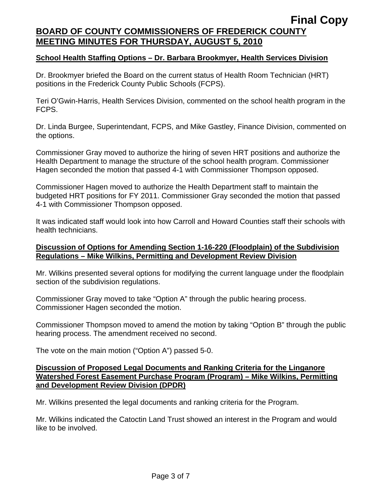#### **School Health Staffing Options – Dr. Barbara Brookmyer, Health Services Division**

Dr. Brookmyer briefed the Board on the current status of Health Room Technician (HRT) positions in the Frederick County Public Schools (FCPS).

Teri O'Gwin-Harris, Health Services Division, commented on the school health program in the FCPS.

Dr. Linda Burgee, Superintendant, FCPS, and Mike Gastley, Finance Division, commented on the options.

Commissioner Gray moved to authorize the hiring of seven HRT positions and authorize the Health Department to manage the structure of the school health program. Commissioner Hagen seconded the motion that passed 4-1 with Commissioner Thompson opposed.

Commissioner Hagen moved to authorize the Health Department staff to maintain the budgeted HRT positions for FY 2011. Commissioner Gray seconded the motion that passed 4-1 with Commissioner Thompson opposed.

It was indicated staff would look into how Carroll and Howard Counties staff their schools with health technicians.

#### **Discussion of Options for Amending Section 1-16-220 (Floodplain) of the Subdivision Regulations – Mike Wilkins, Permitting and Development Review Division**

Mr. Wilkins presented several options for modifying the current language under the floodplain section of the subdivision regulations.

Commissioner Gray moved to take "Option A" through the public hearing process. Commissioner Hagen seconded the motion.

Commissioner Thompson moved to amend the motion by taking "Option B" through the public hearing process. The amendment received no second.

The vote on the main motion ("Option A") passed 5-0.

#### **Discussion of Proposed Legal Documents and Ranking Criteria for the Linganore Watershed Forest Easement Purchase Program (Program) – Mike Wilkins, Permitting and Development Review Division (DPDR)**

Mr. Wilkins presented the legal documents and ranking criteria for the Program.

Mr. Wilkins indicated the Catoctin Land Trust showed an interest in the Program and would like to be involved.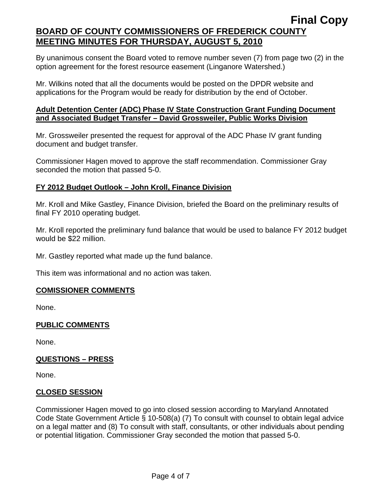By unanimous consent the Board voted to remove number seven (7) from page two (2) in the option agreement for the forest resource easement (Linganore Watershed.)

Mr. Wilkins noted that all the documents would be posted on the DPDR website and applications for the Program would be ready for distribution by the end of October.

### **Adult Detention Center (ADC) Phase IV State Construction Grant Funding Document and Associated Budget Transfer – David Grossweiler, Public Works Division**

Mr. Grossweiler presented the request for approval of the ADC Phase IV grant funding document and budget transfer.

Commissioner Hagen moved to approve the staff recommendation. Commissioner Gray seconded the motion that passed 5-0.

# **FY 2012 Budget Outlook – John Kroll, Finance Division**

Mr. Kroll and Mike Gastley, Finance Division, briefed the Board on the preliminary results of final FY 2010 operating budget.

Mr. Kroll reported the preliminary fund balance that would be used to balance FY 2012 budget would be \$22 million.

Mr. Gastley reported what made up the fund balance.

This item was informational and no action was taken.

# **COMISSIONER COMMENTS**

None.

### **PUBLIC COMMENTS**

None.

### **QUESTIONS – PRESS**

None.

### **CLOSED SESSION**

Commissioner Hagen moved to go into closed session according to Maryland Annotated Code State Government Article § 10-508(a) (7) To consult with counsel to obtain legal advice on a legal matter and (8) To consult with staff, consultants, or other individuals about pending or potential litigation. Commissioner Gray seconded the motion that passed 5-0.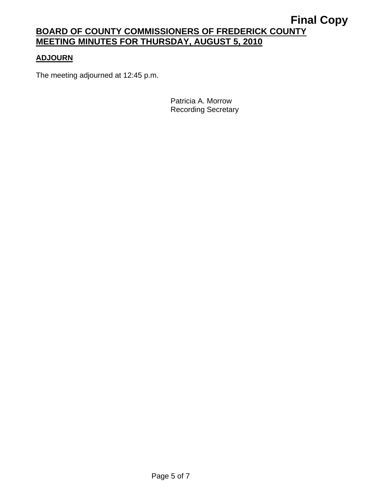## **ADJOURN**

The meeting adjourned at 12:45 p.m.

Patricia A. Morrow Recording Secretary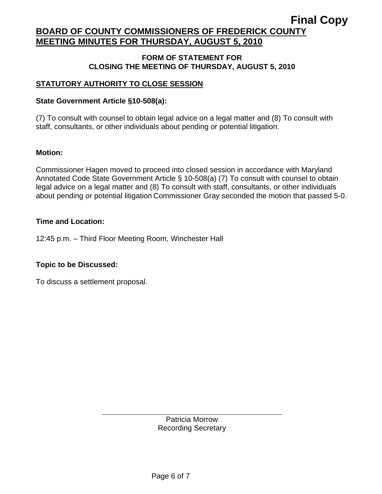#### **FORM OF STATEMENT FOR CLOSING THE MEETING OF THURSDAY, AUGUST 5, 2010**

## **STATUTORY AUTHORITY TO CLOSE SESSION**

### **State Government Article §10-508(a):**

(7) To consult with counsel to obtain legal advice on a legal matter and (8) To consult with staff, consultants, or other individuals about pending or potential litigation.

### **Motion:**

Commissioner Hagen moved to proceed into closed session in accordance with Maryland Annotated Code State Government Article § 10-508(a) (7) To consult with counsel to obtain legal advice on a legal matter and (8) To consult with staff, consultants, or other individuals about pending or potential litigation. Commissioner Gray seconded the motion that passed 5-0.

### **Time and Location:**

12:45 p.m. – Third Floor Meeting Room, Winchester Hall

### **Topic to be Discussed:**

To discuss a settlement proposal.

 $\overline{\phantom{a}}$ 

Patricia Morrow Recording Secretary